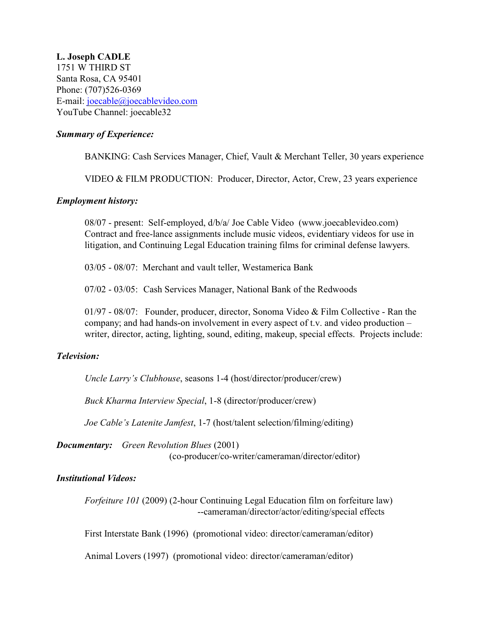**L. Joseph CADLE** 1751 W THIRD ST Santa Rosa, CA 95401 Phone: (707)526-0369 E-mail: [joecable@joecablevideo.com](mailto:ljcadle@yahoo.com) YouTube Channel: joecable32

## *Summary of Experience:*

BANKING: Cash Services Manager, Chief, Vault & Merchant Teller, 30 years experience

VIDEO & FILM PRODUCTION: Producer, Director, Actor, Crew, 23 years experience

### *Employment history:*

08/07 - present: Self-employed, d/b/a/ Joe Cable Video (www.joecablevideo.com) Contract and free-lance assignments include music videos, evidentiary videos for use in litigation, and Continuing Legal Education training films for criminal defense lawyers.

03/05 - 08/07: Merchant and vault teller, Westamerica Bank

07/02 - 03/05: Cash Services Manager, National Bank of the Redwoods

01/97 - 08/07: Founder, producer, director, Sonoma Video & Film Collective - Ran the company; and had hands-on involvement in every aspect of t.v. and video production – writer, director, acting, lighting, sound, editing, makeup, special effects. Projects include:

# *Television:*

*Uncle Larry's Clubhouse*, seasons 1-4 (host/director/producer/crew)

*Buck Kharma Interview Special*, 1-8 (director/producer/crew)

*Joe Cable's Latenite Jamfest*, 1-7 (host/talent selection/filming/editing)

*Documentary: Green Revolution Blues* (2001) (co-producer/co-writer/cameraman/director/editor)

### *Institutional Videos:*

*Forfeiture 101* (2009) (2-hour Continuing Legal Education film on forfeiture law) --cameraman/director/actor/editing/special effects

First Interstate Bank (1996) (promotional video: director/cameraman/editor)

Animal Lovers (1997) (promotional video: director/cameraman/editor)